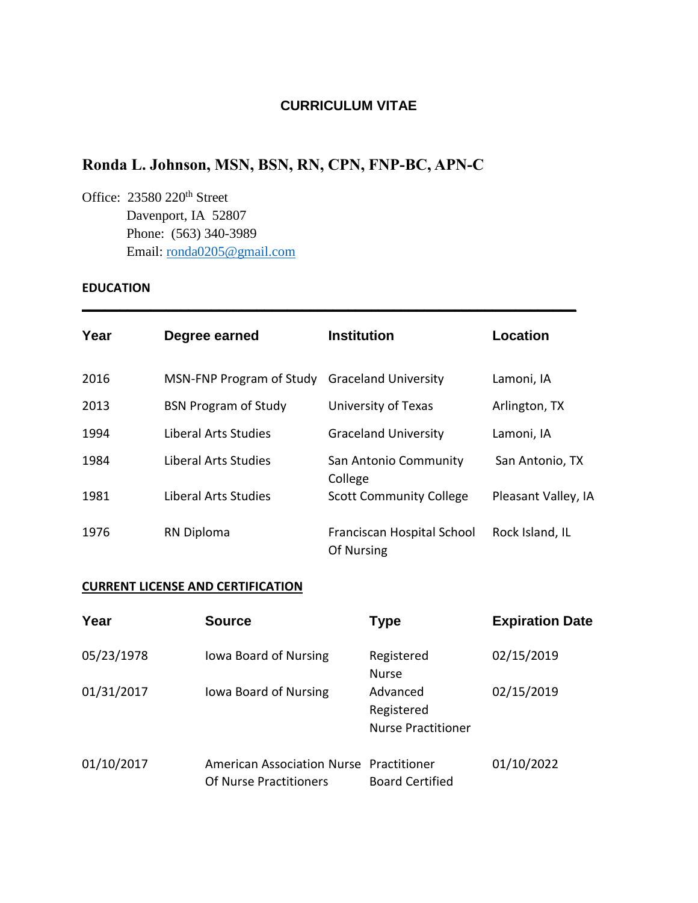# **CURRICULUM VITAE**

# **Ronda L. Johnson, MSN, BSN, RN, CPN, FNP-BC, APN-C**

Office: 23580 220<sup>th</sup> Street Davenport, IA 52807 Phone: (563) 340-3989 Email: [ronda0205@gmail.com](mailto:ronda0205@gmail.com)

### **EDUCATION**

| Year | Degree earned                                 | <b>Institution</b>                       | Location            |
|------|-----------------------------------------------|------------------------------------------|---------------------|
| 2016 | MSN-FNP Program of Study Graceland University |                                          | Lamoni, IA          |
| 2013 | <b>BSN Program of Study</b>                   | University of Texas                      | Arlington, TX       |
| 1994 | Liberal Arts Studies                          | <b>Graceland University</b>              | Lamoni, IA          |
| 1984 | Liberal Arts Studies                          | San Antonio Community<br>College         | San Antonio, TX     |
| 1981 | Liberal Arts Studies                          | <b>Scott Community College</b>           | Pleasant Valley, IA |
| 1976 | <b>RN Diploma</b>                             | Franciscan Hospital School<br>Of Nursing | Rock Island, IL     |

**\_\_\_\_\_\_\_\_\_\_\_\_\_\_\_\_\_\_\_\_\_\_\_\_\_\_\_\_\_\_\_\_\_\_\_\_\_\_\_\_\_\_\_\_\_\_\_\_\_\_\_\_\_\_\_\_\_\_\_\_\_\_\_\_\_**

## **CURRENT LICENSE AND CERTIFICATION**

| Year       | <b>Source</b>                                                     | Type                                                | <b>Expiration Date</b> |
|------------|-------------------------------------------------------------------|-----------------------------------------------------|------------------------|
| 05/23/1978 | lowa Board of Nursing                                             | Registered<br><b>Nurse</b>                          | 02/15/2019             |
| 01/31/2017 | lowa Board of Nursing                                             | Advanced<br>Registered<br><b>Nurse Practitioner</b> | 02/15/2019             |
| 01/10/2017 | American Association Nurse Practitioner<br>Of Nurse Practitioners | <b>Board Certified</b>                              | 01/10/2022             |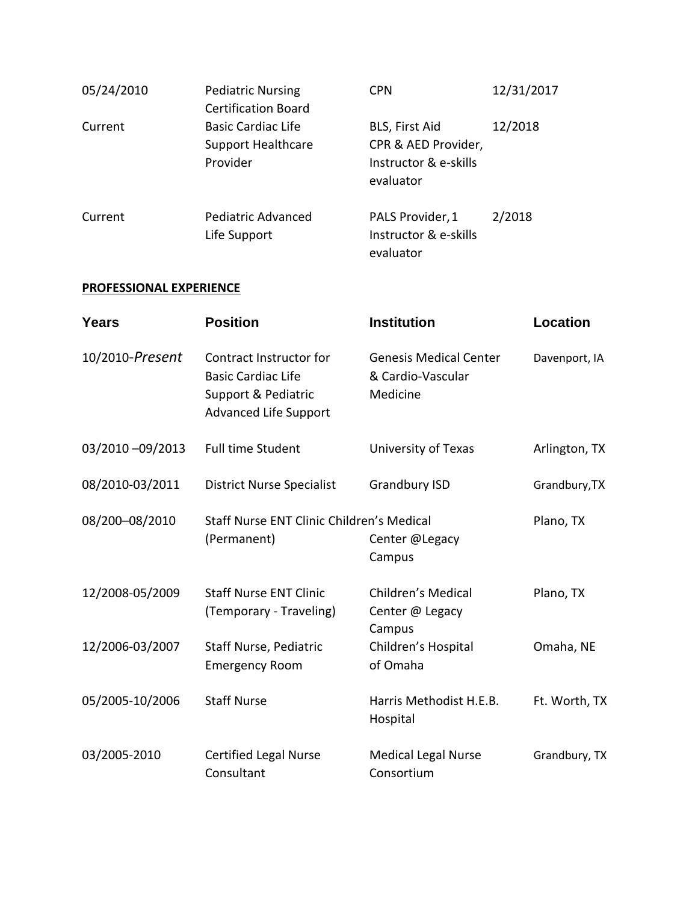| 05/24/2010 | <b>Pediatric Nursing</b><br><b>Certification Board</b>             | <b>CPN</b>                                                                  | 12/31/2017 |
|------------|--------------------------------------------------------------------|-----------------------------------------------------------------------------|------------|
| Current    | <b>Basic Cardiac Life</b><br><b>Support Healthcare</b><br>Provider | BLS, First Aid<br>CPR & AED Provider,<br>Instructor & e-skills<br>evaluator | 12/2018    |
| Current    | Pediatric Advanced<br>Life Support                                 | PALS Provider, 1<br>Instructor & e-skills<br>evaluator                      | 2/2018     |

## **PROFESSIONAL EXPERIENCE**

| Years           | <b>Position</b>                                                                                             | <b>Institution</b>                                             | <b>Location</b> |
|-----------------|-------------------------------------------------------------------------------------------------------------|----------------------------------------------------------------|-----------------|
| 10/2010-Present | Contract Instructor for<br><b>Basic Cardiac Life</b><br>Support & Pediatric<br><b>Advanced Life Support</b> | <b>Genesis Medical Center</b><br>& Cardio-Vascular<br>Medicine | Davenport, IA   |
| 03/2010-09/2013 | <b>Full time Student</b>                                                                                    | University of Texas                                            | Arlington, TX   |
| 08/2010-03/2011 | <b>District Nurse Specialist</b>                                                                            | <b>Grandbury ISD</b>                                           | Grandbury, TX   |
| 08/200-08/2010  | Staff Nurse ENT Clinic Children's Medical<br>(Permanent)                                                    | Center @Legacy<br>Campus                                       | Plano, TX       |
| 12/2008-05/2009 | <b>Staff Nurse ENT Clinic</b><br>(Temporary - Traveling)                                                    | Children's Medical<br>Center @ Legacy<br>Campus                | Plano, TX       |
| 12/2006-03/2007 | Staff Nurse, Pediatric<br><b>Emergency Room</b>                                                             | Children's Hospital<br>of Omaha                                | Omaha, NE       |
| 05/2005-10/2006 | <b>Staff Nurse</b>                                                                                          | Harris Methodist H.E.B.<br>Hospital                            | Ft. Worth, TX   |
| 03/2005-2010    | <b>Certified Legal Nurse</b><br>Consultant                                                                  | <b>Medical Legal Nurse</b><br>Consortium                       | Grandbury, TX   |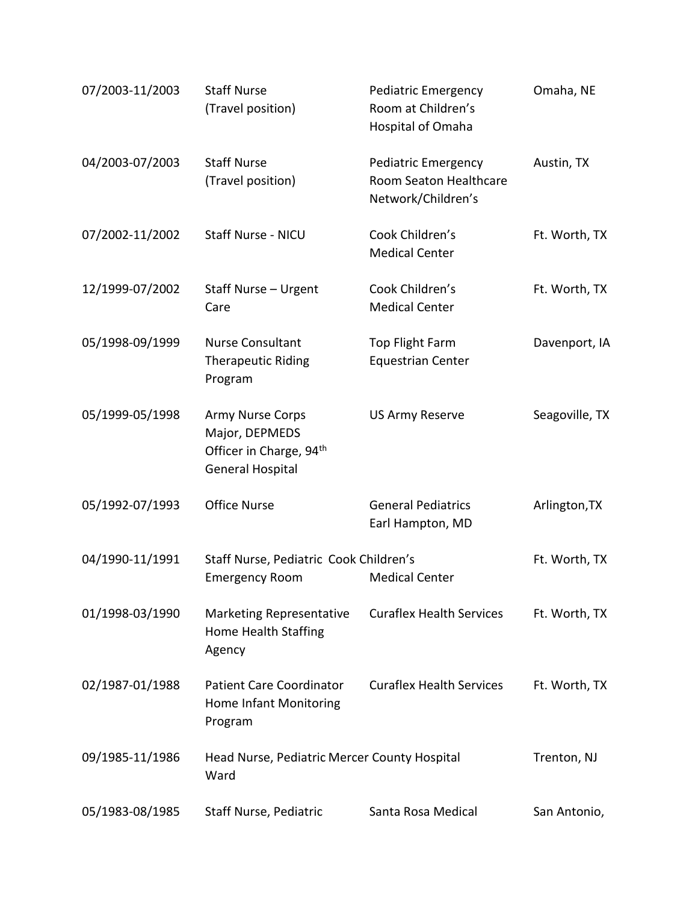| 07/2003-11/2003 | <b>Staff Nurse</b><br>(Travel position)                                                              | Pediatric Emergency<br>Room at Children's<br>Hospital of Omaha      | Omaha, NE      |
|-----------------|------------------------------------------------------------------------------------------------------|---------------------------------------------------------------------|----------------|
| 04/2003-07/2003 | <b>Staff Nurse</b><br>(Travel position)                                                              | Pediatric Emergency<br>Room Seaton Healthcare<br>Network/Children's | Austin, TX     |
| 07/2002-11/2002 | Staff Nurse - NICU                                                                                   | Cook Children's<br><b>Medical Center</b>                            | Ft. Worth, TX  |
| 12/1999-07/2002 | Staff Nurse - Urgent<br>Care                                                                         | Cook Children's<br><b>Medical Center</b>                            | Ft. Worth, TX  |
| 05/1998-09/1999 | <b>Nurse Consultant</b><br><b>Therapeutic Riding</b><br>Program                                      | Top Flight Farm<br><b>Equestrian Center</b>                         | Davenport, IA  |
| 05/1999-05/1998 | Army Nurse Corps<br>Major, DEPMEDS<br>Officer in Charge, 94 <sup>th</sup><br><b>General Hospital</b> | <b>US Army Reserve</b>                                              | Seagoville, TX |
| 05/1992-07/1993 | <b>Office Nurse</b>                                                                                  | <b>General Pediatrics</b><br>Earl Hampton, MD                       | Arlington, TX  |
| 04/1990-11/1991 | Staff Nurse, Pediatric Cook Children's<br><b>Emergency Room</b>                                      | <b>Medical Center</b>                                               | Ft. Worth, TX  |
| 01/1998-03/1990 | <b>Marketing Representative</b><br>Home Health Staffing<br>Agency                                    | <b>Curaflex Health Services</b>                                     | Ft. Worth, TX  |
| 02/1987-01/1988 | <b>Patient Care Coordinator</b><br>Home Infant Monitoring<br>Program                                 | <b>Curaflex Health Services</b>                                     | Ft. Worth, TX  |
| 09/1985-11/1986 | Head Nurse, Pediatric Mercer County Hospital<br>Ward                                                 |                                                                     | Trenton, NJ    |
| 05/1983-08/1985 | Staff Nurse, Pediatric                                                                               | Santa Rosa Medical                                                  | San Antonio,   |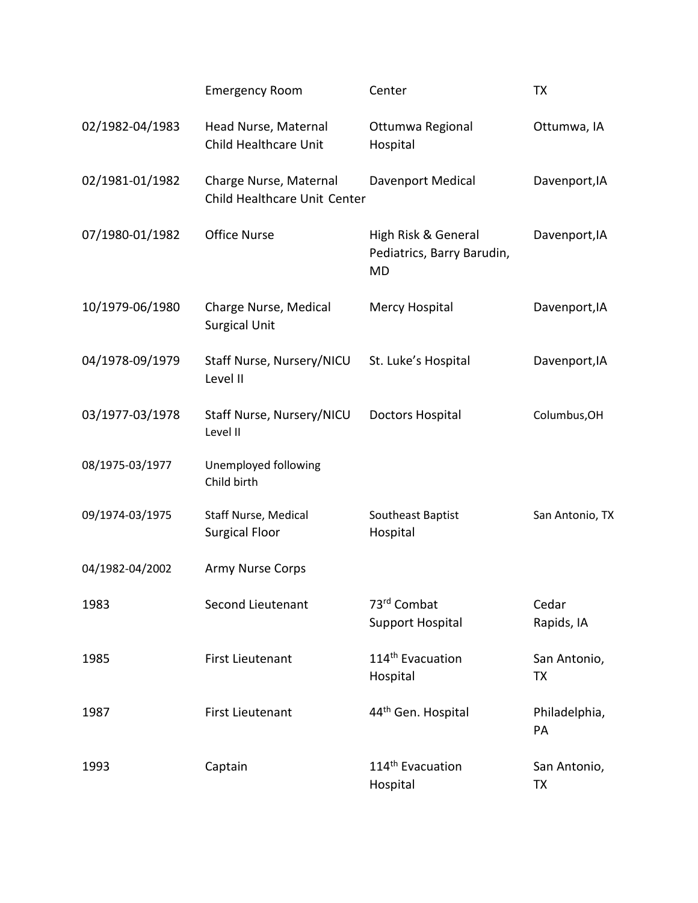|                 | <b>Emergency Room</b>                                  | Center                                                         | TX                  |
|-----------------|--------------------------------------------------------|----------------------------------------------------------------|---------------------|
| 02/1982-04/1983 | Head Nurse, Maternal<br>Child Healthcare Unit          | Ottumwa Regional<br>Hospital                                   | Ottumwa, IA         |
| 02/1981-01/1982 | Charge Nurse, Maternal<br>Child Healthcare Unit Center | Davenport Medical                                              | Davenport, IA       |
| 07/1980-01/1982 | <b>Office Nurse</b>                                    | High Risk & General<br>Pediatrics, Barry Barudin,<br><b>MD</b> | Davenport, IA       |
| 10/1979-06/1980 | Charge Nurse, Medical<br><b>Surgical Unit</b>          | Mercy Hospital                                                 | Davenport, IA       |
| 04/1978-09/1979 | Staff Nurse, Nursery/NICU<br>Level II                  | St. Luke's Hospital                                            | Davenport, IA       |
| 03/1977-03/1978 | Staff Nurse, Nursery/NICU<br>Level II                  | <b>Doctors Hospital</b>                                        | Columbus, OH        |
| 08/1975-03/1977 | Unemployed following<br>Child birth                    |                                                                |                     |
| 09/1974-03/1975 | Staff Nurse, Medical<br><b>Surgical Floor</b>          | Southeast Baptist<br>Hospital                                  | San Antonio, TX     |
| 04/1982-04/2002 | <b>Army Nurse Corps</b>                                |                                                                |                     |
| 1983            | Second Lieutenant                                      | 73rd Combat<br><b>Support Hospital</b>                         | Cedar<br>Rapids, IA |
| 1985            | <b>First Lieutenant</b>                                | 114 <sup>th</sup> Evacuation<br>Hospital                       | San Antonio,<br>TX  |
| 1987            | <b>First Lieutenant</b>                                | 44 <sup>th</sup> Gen. Hospital                                 | Philadelphia,<br>PA |
| 1993            | Captain                                                | 114 <sup>th</sup> Evacuation<br>Hospital                       | San Antonio,<br>ТX  |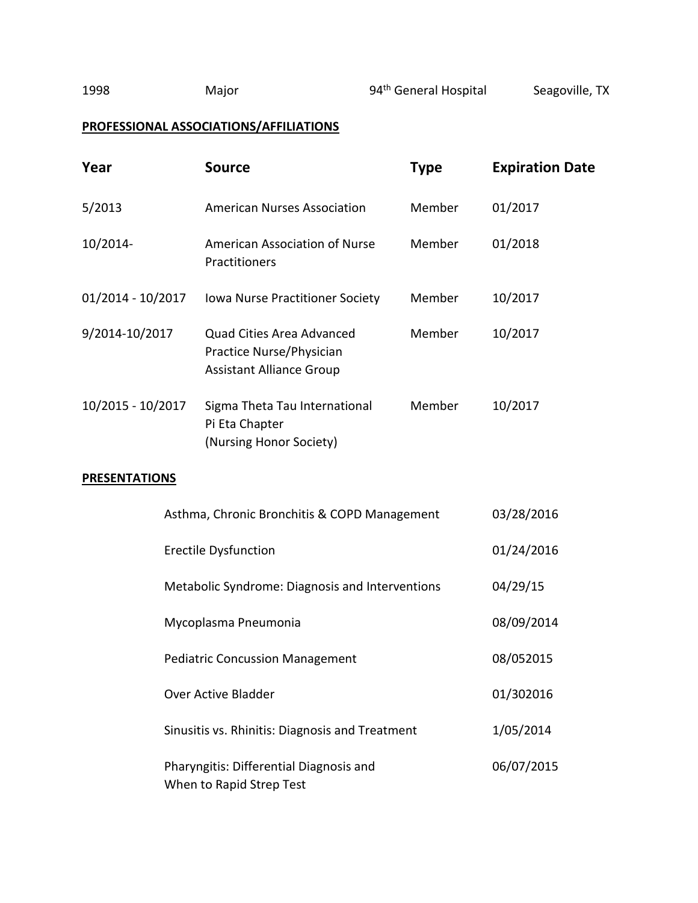# **PROFESSIONAL ASSOCIATIONS/AFFILIATIONS**

| Year                                                                | <b>Source</b>                                                                                   | <b>Type</b> | <b>Expiration Date</b> |
|---------------------------------------------------------------------|-------------------------------------------------------------------------------------------------|-------------|------------------------|
| 5/2013                                                              | <b>American Nurses Association</b>                                                              | Member      | 01/2017                |
| 10/2014-                                                            | American Association of Nurse<br>Practitioners                                                  | Member      | 01/2018                |
| 01/2014 - 10/2017                                                   | Iowa Nurse Practitioner Society                                                                 | Member      | 10/2017                |
| 9/2014-10/2017                                                      | <b>Quad Cities Area Advanced</b><br>Practice Nurse/Physician<br><b>Assistant Alliance Group</b> | Member      | 10/2017                |
| 10/2015 - 10/2017                                                   | Sigma Theta Tau International<br>Pi Eta Chapter<br>(Nursing Honor Society)                      | Member      | 10/2017                |
| <b>PRESENTATIONS</b>                                                |                                                                                                 |             |                        |
|                                                                     | Asthma, Chronic Bronchitis & COPD Management                                                    |             | 03/28/2016             |
| <b>Erectile Dysfunction</b>                                         |                                                                                                 |             | 01/24/2016             |
| Metabolic Syndrome: Diagnosis and Interventions                     |                                                                                                 | 04/29/15    |                        |
| Mycoplasma Pneumonia                                                |                                                                                                 | 08/09/2014  |                        |
| <b>Pediatric Concussion Management</b>                              |                                                                                                 |             | 08/052015              |
| <b>Over Active Bladder</b>                                          |                                                                                                 | 01/302016   |                        |
| Sinusitis vs. Rhinitis: Diagnosis and Treatment                     |                                                                                                 |             | 1/05/2014              |
| Pharyngitis: Differential Diagnosis and<br>When to Rapid Strep Test |                                                                                                 |             | 06/07/2015             |